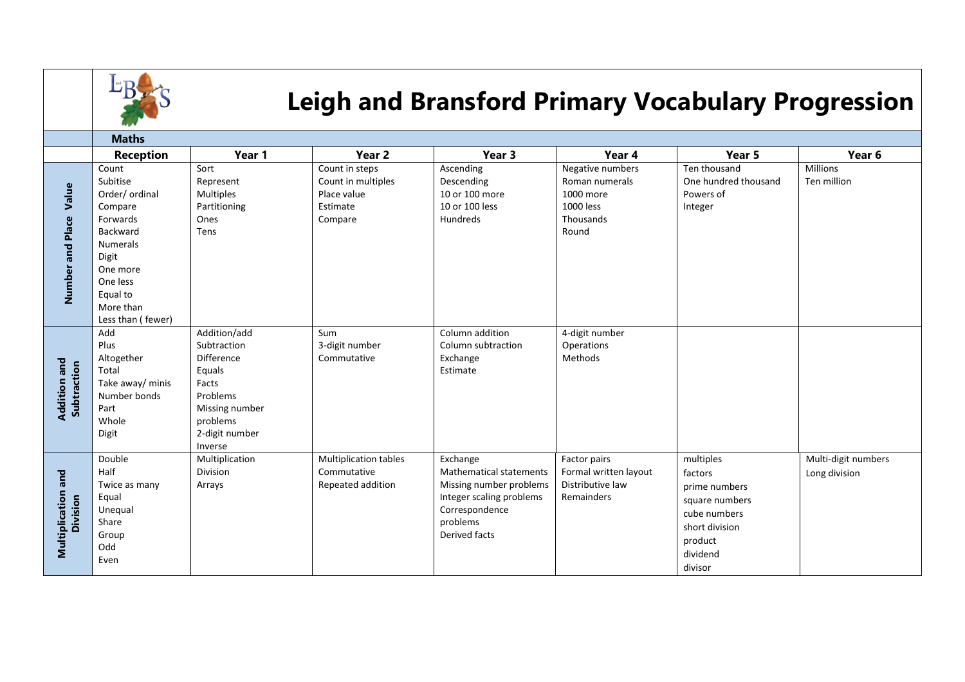

## **Leigh and Bransford Primary Vocabulary Progression**

|                                    | <b>Maths</b>                                                                                                                                                             |                                                                                                                                     |                                                                            |                                                                                                                                                  |                                                                                    |                                                                                                                             |                                      |  |
|------------------------------------|--------------------------------------------------------------------------------------------------------------------------------------------------------------------------|-------------------------------------------------------------------------------------------------------------------------------------|----------------------------------------------------------------------------|--------------------------------------------------------------------------------------------------------------------------------------------------|------------------------------------------------------------------------------------|-----------------------------------------------------------------------------------------------------------------------------|--------------------------------------|--|
|                                    | <b>Reception</b>                                                                                                                                                         | Year 1                                                                                                                              | Year <sub>2</sub>                                                          | Year 3                                                                                                                                           | Year 4                                                                             | Year 5                                                                                                                      | Year <sub>6</sub>                    |  |
| Value<br>Number and Place          | Count<br>Subitise<br>Order/ ordinal<br>Compare<br>Forwards<br>Backward<br><b>Numerals</b><br>Digit<br>One more<br>One less<br>Equal to<br>More than<br>Less than (fewer) | Sort<br>Represent<br>Multiples<br>Partitioning<br>Ones<br>Tens                                                                      | Count in steps<br>Count in multiples<br>Place value<br>Estimate<br>Compare | Ascending<br>Descending<br>10 or 100 more<br>10 or 100 less<br>Hundreds                                                                          | Negative numbers<br>Roman numerals<br>1000 more<br>1000 less<br>Thousands<br>Round | Ten thousand<br>One hundred thousand<br>Powers of<br>Integer                                                                | Millions<br>Ten million              |  |
| <b>Addition and</b><br>Subtraction | Add<br>Plus<br>Altogether<br>Total<br>Take away/ minis<br>Number bonds<br>Part<br>Whole<br>Digit                                                                         | Addition/add<br>Subtraction<br>Difference<br>Equals<br>Facts<br>Problems<br>Missing number<br>problems<br>2-digit number<br>Inverse | Sum<br>3-digit number<br>Commutative                                       | Column addition<br>Column subtraction<br>Exchange<br>Estimate                                                                                    | 4-digit number<br>Operations<br>Methods                                            |                                                                                                                             |                                      |  |
| Multiplication and<br>Division     | Double<br>Half<br>Twice as many<br>Equal<br>Unequal<br>Share<br>Group<br>Odd<br>Even                                                                                     | Multiplication<br>Division<br>Arrays                                                                                                | Multiplication tables<br>Commutative<br>Repeated addition                  | Exchange<br><b>Mathematical statements</b><br>Missing number problems<br>Integer scaling problems<br>Correspondence<br>problems<br>Derived facts | Factor pairs<br>Formal written layout<br>Distributive law<br>Remainders            | multiples<br>factors<br>prime numbers<br>square numbers<br>cube numbers<br>short division<br>product<br>dividend<br>divisor | Multi-digit numbers<br>Long division |  |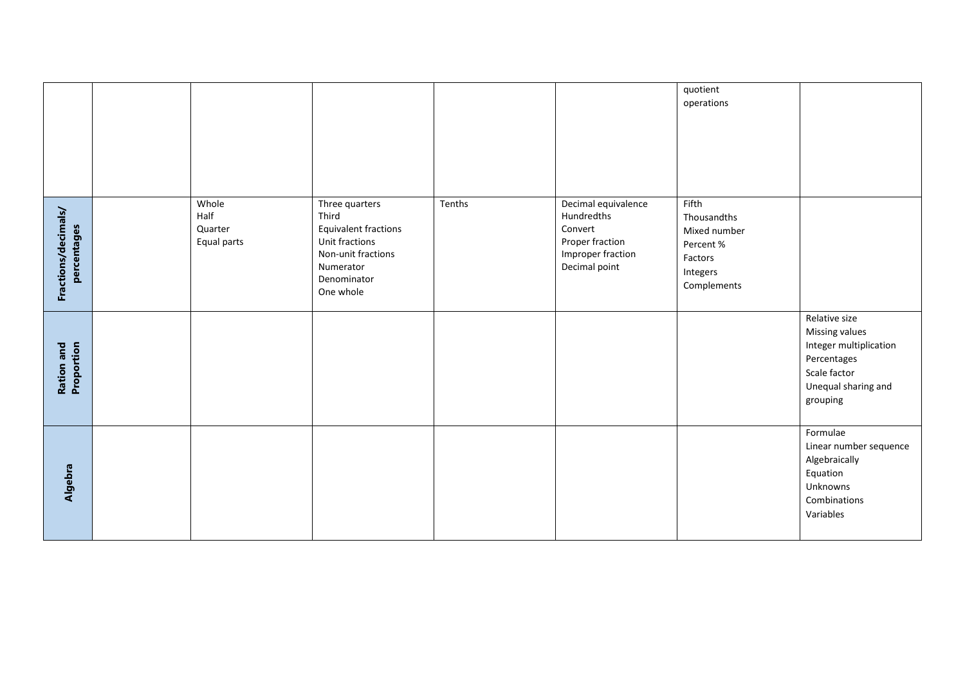|                                    |                                         |                                                                                                                                  |        |                                                                                                       | quotient<br>operations                                                                  |                                                                                                                                    |
|------------------------------------|-----------------------------------------|----------------------------------------------------------------------------------------------------------------------------------|--------|-------------------------------------------------------------------------------------------------------|-----------------------------------------------------------------------------------------|------------------------------------------------------------------------------------------------------------------------------------|
| Fractions/decimals/<br>percentages | Whole<br>Half<br>Quarter<br>Equal parts | Three quarters<br>Third<br>Equivalent fractions<br>Unit fractions<br>Non-unit fractions<br>Numerator<br>Denominator<br>One whole | Tenths | Decimal equivalence<br>Hundredths<br>Convert<br>Proper fraction<br>Improper fraction<br>Decimal point | Fifth<br>Thousandths<br>Mixed number<br>Percent %<br>Factors<br>Integers<br>Complements |                                                                                                                                    |
| Ration and<br>Proportion           |                                         |                                                                                                                                  |        |                                                                                                       |                                                                                         | Relative size<br><b>Missing values</b><br>Integer multiplication<br>Percentages<br>Scale factor<br>Unequal sharing and<br>grouping |
| Algebra                            |                                         |                                                                                                                                  |        |                                                                                                       |                                                                                         | Formulae<br>Linear number sequence<br>Algebraically<br>Equation<br>Unknowns<br>Combinations<br>Variables                           |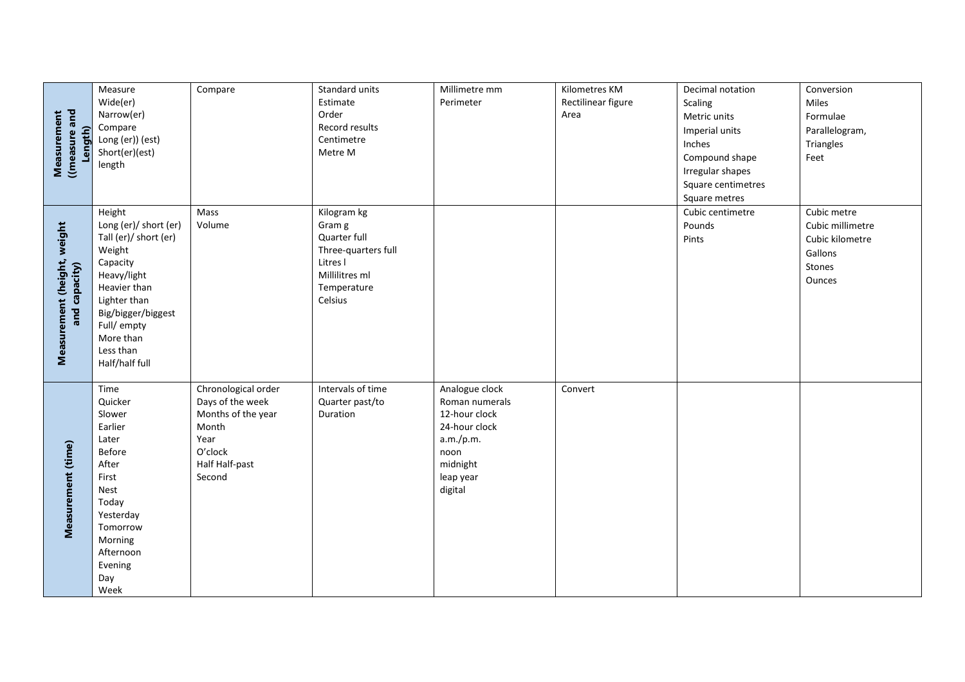|                                              | Measure                | Compare                  | Standard units      | Millimetre mm         | Kilometres KM      | Decimal notation   | Conversion       |
|----------------------------------------------|------------------------|--------------------------|---------------------|-----------------------|--------------------|--------------------|------------------|
| Measurement<br>((measure and<br>Length)      | Wide(er)               |                          | Estimate            | Perimeter             | Rectilinear figure | Scaling            | Miles            |
|                                              | Narrow(er)             |                          | Order               |                       | Area               | Metric units       | Formulae         |
|                                              | Compare                |                          | Record results      |                       |                    | Imperial units     | Parallelogram,   |
|                                              | Long (er)) (est)       |                          | Centimetre          |                       |                    | Inches             | Triangles        |
|                                              | Short(er)(est)         |                          | Metre M             |                       |                    | Compound shape     | Feet             |
|                                              | length                 |                          |                     |                       |                    | Irregular shapes   |                  |
|                                              |                        |                          |                     |                       |                    | Square centimetres |                  |
|                                              |                        |                          |                     |                       |                    | Square metres      |                  |
|                                              | Height                 | Mass                     | Kilogram kg         |                       |                    | Cubic centimetre   | Cubic metre      |
|                                              | Long (er)/ short (er)  | Volume                   | Gram g              |                       |                    | Pounds             | Cubic millimetre |
|                                              | Tall (er)/ short (er)  |                          | Quarter full        |                       |                    | Pints              | Cubic kilometre  |
|                                              | Weight                 |                          | Three-quarters full |                       |                    |                    | Gallons          |
|                                              | Capacity               |                          | Litres I            |                       |                    |                    | Stones           |
|                                              | Heavy/light            |                          | Millilitres ml      |                       |                    |                    | Ounces           |
|                                              | Heavier than           |                          | Temperature         |                       |                    |                    |                  |
| Measurement (height, weight<br>and capacity) | Lighter than           |                          | Celsius             |                       |                    |                    |                  |
|                                              | Big/bigger/biggest     |                          |                     |                       |                    |                    |                  |
|                                              | Full/ empty            |                          |                     |                       |                    |                    |                  |
|                                              | More than<br>Less than |                          |                     |                       |                    |                    |                  |
|                                              | Half/half full         |                          |                     |                       |                    |                    |                  |
|                                              |                        |                          |                     |                       |                    |                    |                  |
|                                              | Time                   | Chronological order      | Intervals of time   | Analogue clock        | Convert            |                    |                  |
|                                              | Quicker                | Days of the week         | Quarter past/to     | Roman numerals        |                    |                    |                  |
|                                              | Slower                 | Months of the year       | Duration            | 12-hour clock         |                    |                    |                  |
|                                              | Earlier                | Month                    |                     | 24-hour clock         |                    |                    |                  |
|                                              | Later                  | Year                     |                     | a.m./p.m.             |                    |                    |                  |
|                                              | Before                 | O'clock                  |                     | noon                  |                    |                    |                  |
|                                              | After<br>First         | Half Half-past<br>Second |                     | midnight<br>leap year |                    |                    |                  |
|                                              | Nest                   |                          |                     | digital               |                    |                    |                  |
|                                              | Today                  |                          |                     |                       |                    |                    |                  |
| Measurement (time)                           | Yesterday              |                          |                     |                       |                    |                    |                  |
|                                              | Tomorrow               |                          |                     |                       |                    |                    |                  |
|                                              | Morning                |                          |                     |                       |                    |                    |                  |
|                                              | Afternoon              |                          |                     |                       |                    |                    |                  |
|                                              | Evening                |                          |                     |                       |                    |                    |                  |
|                                              | Day                    |                          |                     |                       |                    |                    |                  |
|                                              | Week                   |                          |                     |                       |                    |                    |                  |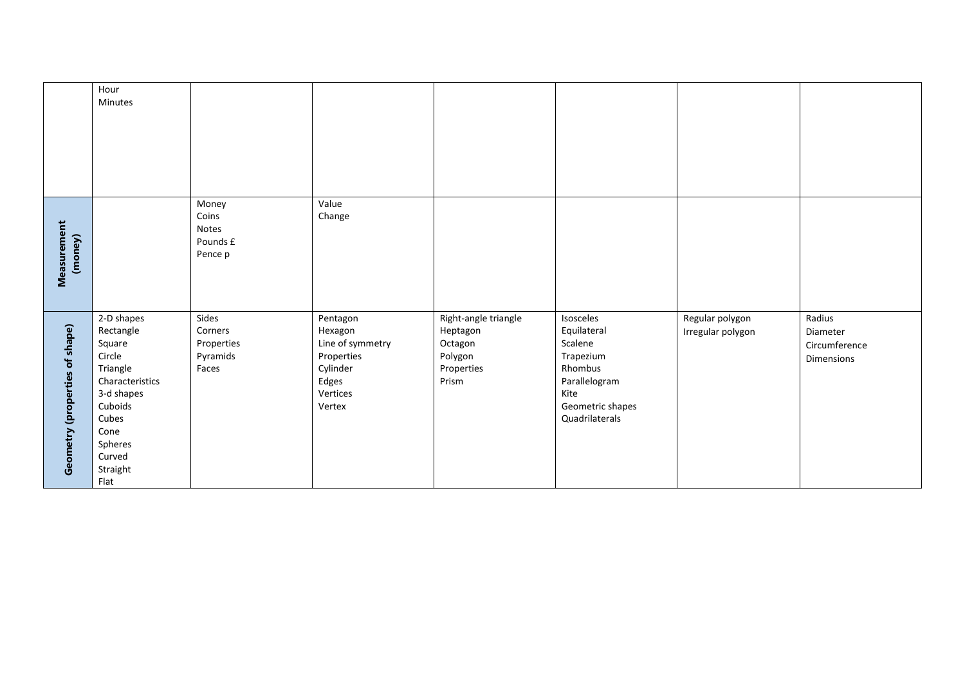|                                | Hour<br>Minutes                                                                                                                                               |                                                     |                                                                                                  |                                                                               |                                                                                                                            |                                      |                                                   |
|--------------------------------|---------------------------------------------------------------------------------------------------------------------------------------------------------------|-----------------------------------------------------|--------------------------------------------------------------------------------------------------|-------------------------------------------------------------------------------|----------------------------------------------------------------------------------------------------------------------------|--------------------------------------|---------------------------------------------------|
|                                |                                                                                                                                                               |                                                     |                                                                                                  |                                                                               |                                                                                                                            |                                      |                                                   |
| Measurement<br>(money)         |                                                                                                                                                               | Money<br>Coins<br>Notes<br>Pounds £<br>Pence p      | Value<br>Change                                                                                  |                                                                               |                                                                                                                            |                                      |                                                   |
| Geometry (properties of shape) | 2-D shapes<br>Rectangle<br>Square<br>Circle<br>Triangle<br>Characteristics<br>3-d shapes<br>Cuboids<br>Cubes<br>Cone<br>Spheres<br>Curved<br>Straight<br>Flat | Sides<br>Corners<br>Properties<br>Pyramids<br>Faces | Pentagon<br>Hexagon<br>Line of symmetry<br>Properties<br>Cylinder<br>Edges<br>Vertices<br>Vertex | Right-angle triangle<br>Heptagon<br>Octagon<br>Polygon<br>Properties<br>Prism | Isosceles<br>Equilateral<br>Scalene<br>Trapezium<br>Rhombus<br>Parallelogram<br>Kite<br>Geometric shapes<br>Quadrilaterals | Regular polygon<br>Irregular polygon | Radius<br>Diameter<br>Circumference<br>Dimensions |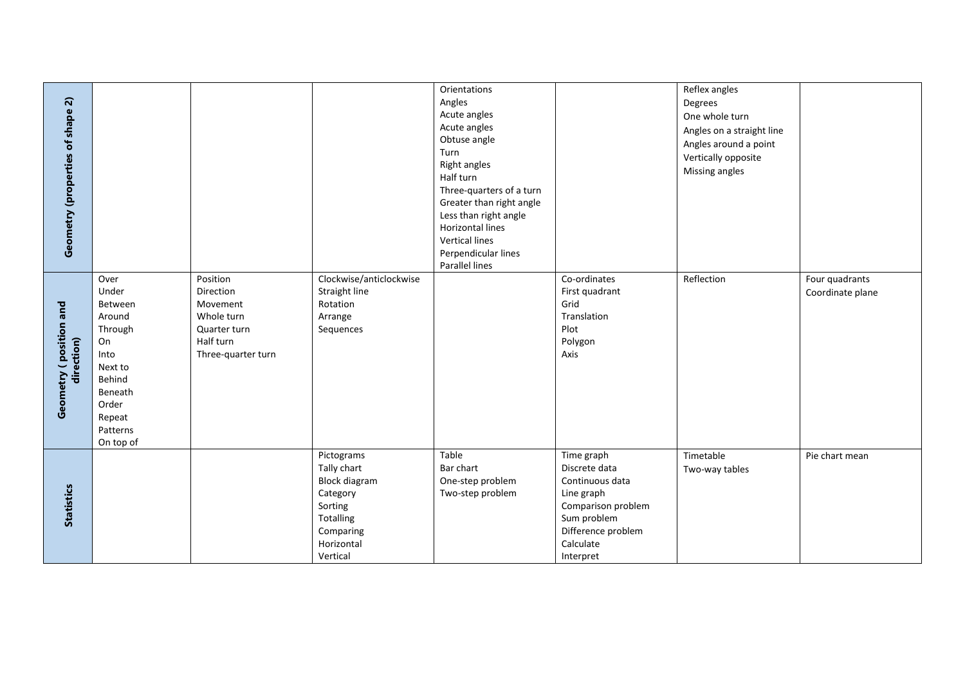| Geometry (properties of shape 2)      |                                                                                                                                         |                                                                                                    |                                                                                                                              | Orientations<br>Angles<br>Acute angles<br>Acute angles<br>Obtuse angle<br>Turn<br><b>Right angles</b><br>Half turn<br>Three-quarters of a turn<br>Greater than right angle<br>Less than right angle<br>Horizontal lines<br><b>Vertical lines</b><br>Perpendicular lines |                                                                                                                                                   | Reflex angles<br>Degrees<br>One whole turn<br>Angles on a straight line<br>Angles around a point<br>Vertically opposite<br>Missing angles |                                    |
|---------------------------------------|-----------------------------------------------------------------------------------------------------------------------------------------|----------------------------------------------------------------------------------------------------|------------------------------------------------------------------------------------------------------------------------------|-------------------------------------------------------------------------------------------------------------------------------------------------------------------------------------------------------------------------------------------------------------------------|---------------------------------------------------------------------------------------------------------------------------------------------------|-------------------------------------------------------------------------------------------------------------------------------------------|------------------------------------|
| Geometry ( position and<br>direction) | Over<br>Under<br>Between<br>Around<br>Through<br>On<br>Into<br>Next to<br>Behind<br>Beneath<br>Order<br>Repeat<br>Patterns<br>On top of | Position<br>Direction<br>Movement<br>Whole turn<br>Quarter turn<br>Half turn<br>Three-quarter turn | Clockwise/anticlockwise<br>Straight line<br>Rotation<br>Arrange<br>Sequences                                                 | Parallel lines                                                                                                                                                                                                                                                          | Co-ordinates<br>First quadrant<br>Grid<br>Translation<br>Plot<br>Polygon<br>Axis                                                                  | Reflection                                                                                                                                | Four quadrants<br>Coordinate plane |
| <b>Statistics</b>                     |                                                                                                                                         |                                                                                                    | Pictograms<br>Tally chart<br><b>Block diagram</b><br>Category<br>Sorting<br>Totalling<br>Comparing<br>Horizontal<br>Vertical | Table<br>Bar chart<br>One-step problem<br>Two-step problem                                                                                                                                                                                                              | Time graph<br>Discrete data<br>Continuous data<br>Line graph<br>Comparison problem<br>Sum problem<br>Difference problem<br>Calculate<br>Interpret | Timetable<br>Two-way tables                                                                                                               | Pie chart mean                     |